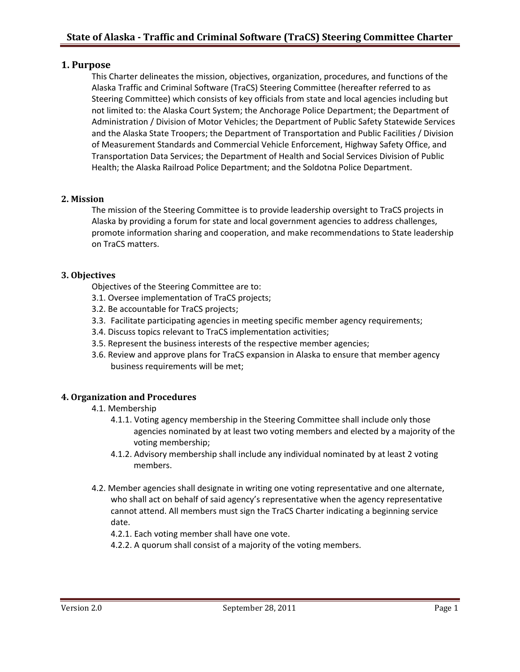## **1. Purpose**

This Charter delineates the mission, objectives, organization, procedures, and functions of the Alaska Traffic and Criminal Software (TraCS) Steering Committee (hereafter referred to as Steering Committee) which consists of key officials from state and local agencies including but not limited to: the Alaska Court System; the Anchorage Police Department; the Department of Administration / Division of Motor Vehicles; the Department of Public Safety Statewide Services and the Alaska State Troopers; the Department of Transportation and Public Facilities / Division of Measurement Standards and Commercial Vehicle Enforcement, Highway Safety Office, and Transportation Data Services; the Department of Health and Social Services Division of Public Health; the Alaska Railroad Police Department; and the Soldotna Police Department.

## **2. Mission**

The mission of the Steering Committee is to provide leadership oversight to TraCS projects in Alaska by providing a forum for state and local government agencies to address challenges, promote information sharing and cooperation, and make recommendations to State leadership on TraCS matters.

#### **3. Objectives**

Objectives of the Steering Committee are to:

- 3.1. Oversee implementation of TraCS projects;
- 3.2. Be accountable for TraCS projects;
- 3.3. Facilitate participating agencies in meeting specific member agency requirements;
- 3.4. Discuss topics relevant to TraCS implementation activities;
- 3.5. Represent the business interests of the respective member agencies;
- 3.6. Review and approve plans for TraCS expansion in Alaska to ensure that member agency business requirements will be met;

## **4. Organization and Procedures**

- 4.1. Membership
	- 4.1.1. Voting agency membership in the Steering Committee shall include only those agencies nominated by at least two voting members and elected by a majority of the voting membership;
	- 4.1.2. Advisory membership shall include any individual nominated by at least 2 voting members.
- 4.2. Member agencies shall designate in writing one voting representative and one alternate, who shall act on behalf of said agency's representative when the agency representative cannot attend. All members must sign the TraCS Charter indicating a beginning service date.

4.2.1. Each voting member shall have one vote.

4.2.2. A quorum shall consist of a majority of the voting members.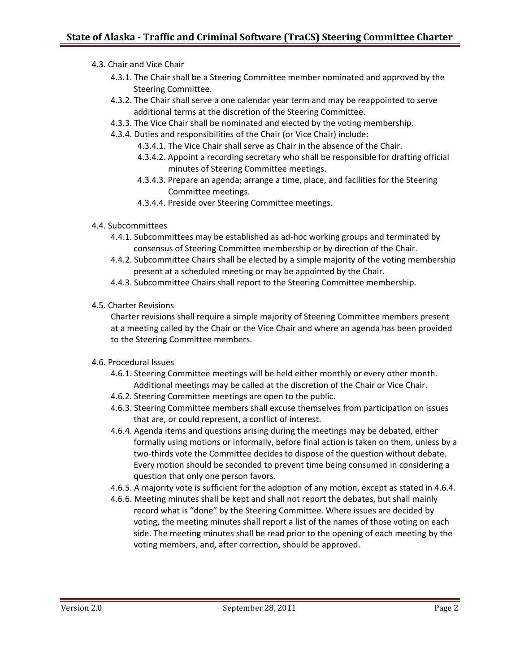- 4.3. Chair and Vice Chair
	- 4.3.1. The Chair shall be a Steering Committee member nominated and approved by the Steering Committee.
	- 4.3.2. The Chair shall serve a one calendar year term and may be reappointed to serve additional terms at the discretion of the Steering Committee.
	- 4.3.3. The Vice Chair shall be nominated and elected by the voting membership.
	- 4.3.4. Duties and responsibilities of the Chair (or Vice Chair) include:
		- 4.3.4.1. The Vice Chair shall serve as Chair in the absence of the Chair.
		- 4.3.4.2. Appoint a recording secretary who shall be responsible for drafting official minutes of Steering Committee meetings.
		- 4.3.4.3. Prepare an agenda; arrange a time, place, and facilities for the Steering Committee meetings.
		- 4.3.4.4. Preside over Steering Committee meetings.
- 4.4. Subcommittees
	- 4.4.1. Subcommittees may be established as ad-hoc working groups and terminated by consensus of Steering Committee membership or by direction of the Chair.
	- 4.4.2. Subcommittee Chairs shall be elected by a simple majority of the voting membership present at a scheduled meeting or may be appointed by the Chair.
	- 4.4.3. Subcommittee Chairs shall report to the Steering Committee membership.
- 4.5. Charter Revisions

Charter revisions shall require a simple majority of Steering Committee members present at a meeting called by the Chair or the Vice Chair and where an agenda has been provided to the Steering Committee members.

- 4.6. Procedural Issues
	- 4.6.1. Steering Committee meetings will be held either monthly or every other month. Additional meetings may be called at the discretion of the Chair or Vice Chair.
	- 4.6.2. Steering Committee meetings are open to the public.
	- 4.6.3. Steering Committee members shall excuse themselves from participation on issues that are, or could represent, a conflict of interest.
	- 4.6.4. Agenda items and questions arising during the meetings may be debated, either formally using motions or informally, before final action is taken on them, unless by a two-thirds vote the Committee decides to dispose of the question without debate. Every motion should be seconded to prevent time being consumed in considering a question that only one person favors.
	- 4.6.5. A majority vote is sufficient for the adoption of any motion, except as stated in 4.6.4.
	- 4.6.6. Meeting minutes shall be kept and shall not report the debates, but shall mainly record what is "done" by the Steering Committee. Where issues are decided by voting, the meeting minutes shall report a list of the names of those voting on each side. The meeting minutes shall be read prior to the opening of each meeting by the voting members, and, after correction, should be approved.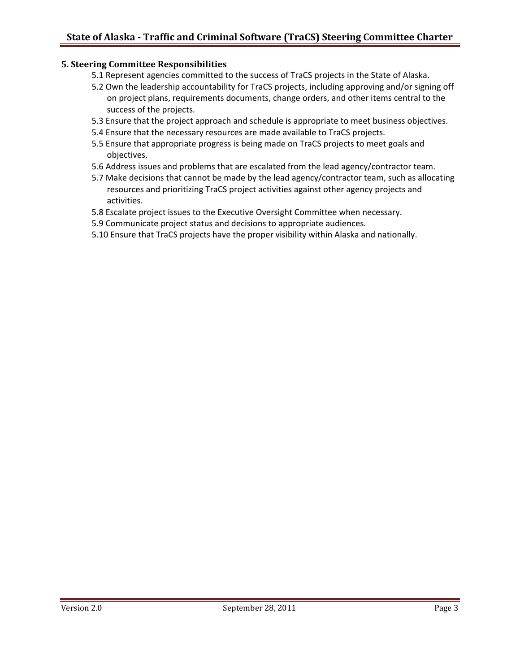#### **5. Steering Committee Responsibilities**

- 5.1 Represent agencies committed to the success of TraCS projects in the State of Alaska.
- 5.2 Own the leadership accountability for TraCS projects, including approving and/or signing off on project plans, requirements documents, change orders, and other items central to the success of the projects.
- 5.3 Ensure that the project approach and schedule is appropriate to meet business objectives.
- 5.4 Ensure that the necessary resources are made available to TraCS projects.
- 5.5 Ensure that appropriate progress is being made on TraCS projects to meet goals and objectives.
- 5.6 Address issues and problems that are escalated from the lead agency/contractor team.
- 5.7 Make decisions that cannot be made by the lead agency/contractor team, such as allocating resources and prioritizing TraCS project activities against other agency projects and activities.
- 5.8 Escalate project issues to the Executive Oversight Committee when necessary.
- 5.9 Communicate project status and decisions to appropriate audiences.
- 5.10 Ensure that TraCS projects have the proper visibility within Alaska and nationally.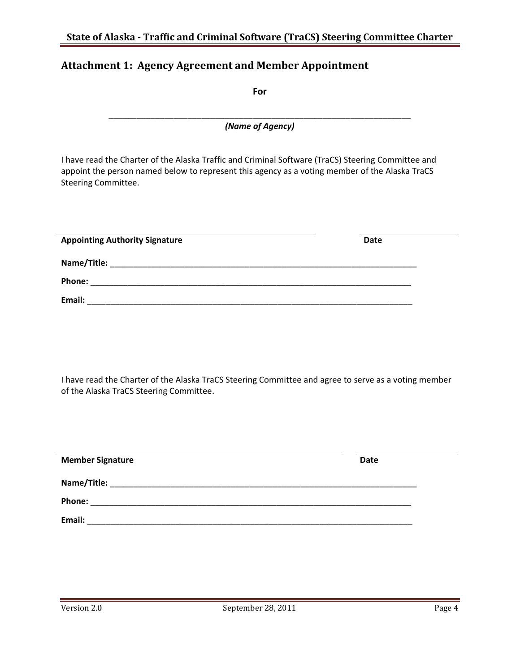# **Attachment 1: Agency Agreement and Member Appointment**

| For                                                                                                                                                                                                                         |             |
|-----------------------------------------------------------------------------------------------------------------------------------------------------------------------------------------------------------------------------|-------------|
| (Name of Agency)                                                                                                                                                                                                            |             |
| I have read the Charter of the Alaska Traffic and Criminal Software (TraCS) Steering Committee and<br>appoint the person named below to represent this agency as a voting member of the Alaska TraCS<br>Steering Committee. |             |
| <b>Appointing Authority Signature</b>                                                                                                                                                                                       | <b>Date</b> |
|                                                                                                                                                                                                                             |             |
|                                                                                                                                                                                                                             |             |
|                                                                                                                                                                                                                             |             |

I have read the Charter of the Alaska TraCS Steering Committee and agree to serve as a voting member of the Alaska TraCS Steering Committee.

| <b>Member Signature</b> | <b>Date</b> |
|-------------------------|-------------|
| Name/Title:             |             |
| Phone:                  |             |
| Email:                  |             |

÷,